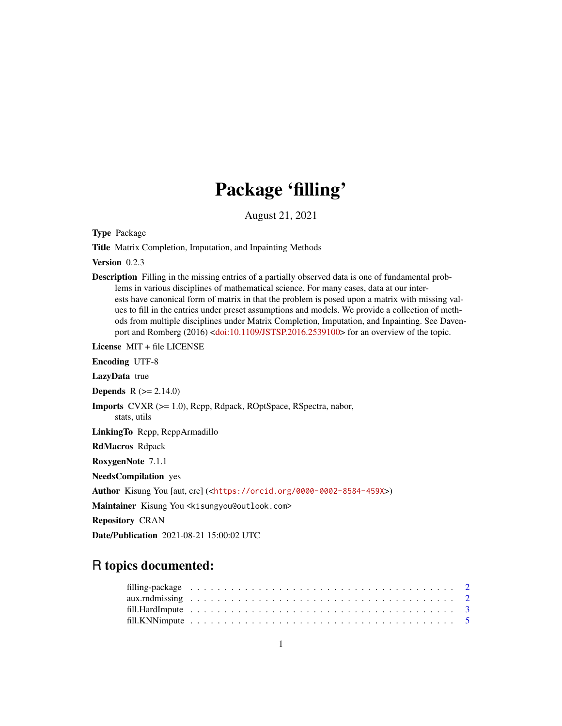## Package 'filling'

August 21, 2021

<span id="page-0-0"></span>Type Package

Title Matrix Completion, Imputation, and Inpainting Methods

Version 0.2.3

Description Filling in the missing entries of a partially observed data is one of fundamental problems in various disciplines of mathematical science. For many cases, data at our interests have canonical form of matrix in that the problem is posed upon a matrix with missing values to fill in the entries under preset assumptions and models. We provide a collection of methods from multiple disciplines under Matrix Completion, Imputation, and Inpainting. See Daven-port and Romberg (2016) [<doi:10.1109/JSTSP.2016.2539100>](https://doi.org/10.1109/JSTSP.2016.2539100) for an overview of the topic.

License MIT + file LICENSE

Encoding UTF-8

LazyData true

**Depends**  $R (= 2.14.0)$ 

Imports CVXR (>= 1.0), Rcpp, Rdpack, ROptSpace, RSpectra, nabor, stats, utils

LinkingTo Rcpp, RcppArmadillo

RdMacros Rdpack

RoxygenNote 7.1.1

NeedsCompilation yes

Author Kisung You [aut, cre] (<<https://orcid.org/0000-0002-8584-459X>>)

Maintainer Kisung You <kisungyou@outlook.com>

Repository CRAN

Date/Publication 2021-08-21 15:00:02 UTC

### R topics documented: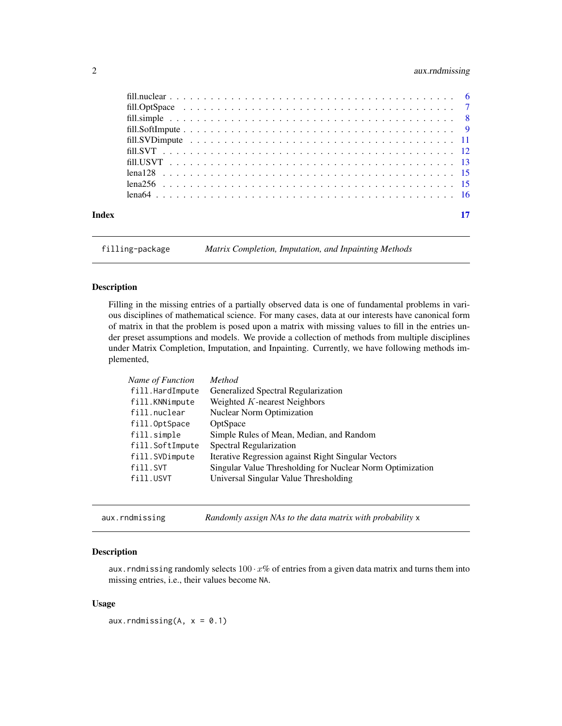#### <span id="page-1-0"></span>2 aux.rndmissing

| Index |  |
|-------|--|

filling-package *Matrix Completion, Imputation, and Inpainting Methods*

#### Description

Filling in the missing entries of a partially observed data is one of fundamental problems in various disciplines of mathematical science. For many cases, data at our interests have canonical form of matrix in that the problem is posed upon a matrix with missing values to fill in the entries under preset assumptions and models. We provide a collection of methods from multiple disciplines under Matrix Completion, Imputation, and Inpainting. Currently, we have following methods implemented,

| Name of Function | Method                                                    |
|------------------|-----------------------------------------------------------|
| fill.HardImpute  | Generalized Spectral Regularization                       |
| fill.KNNimpute   | Weighted $K$ -nearest Neighbors                           |
| fill.nuclear     | <b>Nuclear Norm Optimization</b>                          |
| fill.OptSpace    | OptSpace                                                  |
| fill.simple      | Simple Rules of Mean, Median, and Random                  |
| fill.SoftImpute  | Spectral Regularization                                   |
| fill.SVDimpute   | Iterative Regression against Right Singular Vectors       |
| fill.SVT         | Singular Value Thresholding for Nuclear Norm Optimization |
| fill.USVT        | Universal Singular Value Thresholding                     |
|                  |                                                           |

aux.rndmissing *Randomly assign NAs to the data matrix with probability* x

#### Description

aux. rndmissing randomly selects  $100 \cdot x\%$  of entries from a given data matrix and turns them into missing entries, i.e., their values become NA.

#### Usage

aux.rndmissing(A,  $x = 0.1$ )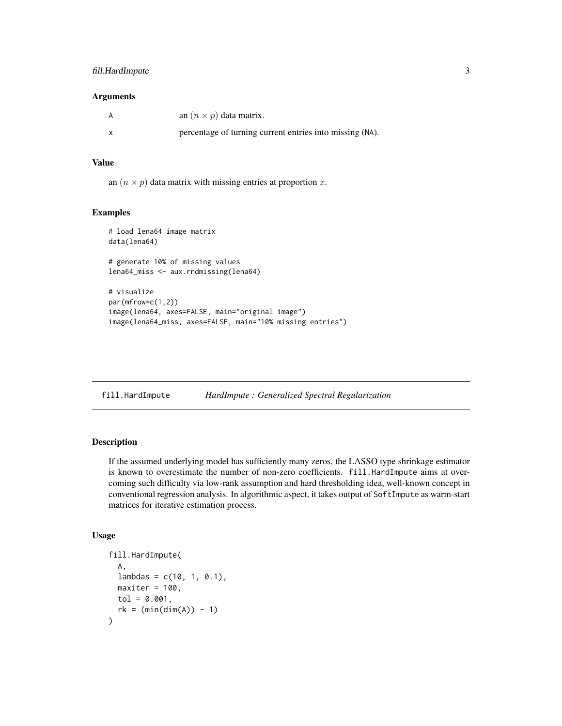#### <span id="page-2-0"></span>fill.HardImpute 3

#### Arguments

| A | an $(n \times p)$ data matrix.                           |
|---|----------------------------------------------------------|
| X | percentage of turning current entries into missing (NA). |

#### Value

an  $(n \times p)$  data matrix with missing entries at proportion x.

#### Examples

```
# load lena64 image matrix
data(lena64)
# generate 10% of missing values
lena64_miss <- aux.rndmissing(lena64)
# visualize
par(mfrow=c(1,2))
image(lena64, axes=FALSE, main="original image")
image(lena64_miss, axes=FALSE, main="10% missing entries")
```
<span id="page-2-1"></span>

| fill.HardImpute |  | HardImpute: Generalized Spectral Regularization |
|-----------------|--|-------------------------------------------------|
|                 |  |                                                 |

#### Description

If the assumed underlying model has sufficiently many zeros, the LASSO type shrinkage estimator is known to overestimate the number of non-zero coefficients. fill.HardImpute aims at overcoming such difficulty via low-rank assumption and hard thresholding idea, well-known concept in conventional regression analysis. In algorithmic aspect, it takes output of SoftImpute as warm-start matrices for iterative estimation process.

#### Usage

```
fill.HardImpute(
 A,
 lambdas = c(10, 1, 0.1),maxiter = 100.
 tol = 0.001,rk = (min(dim(A)) - 1))
```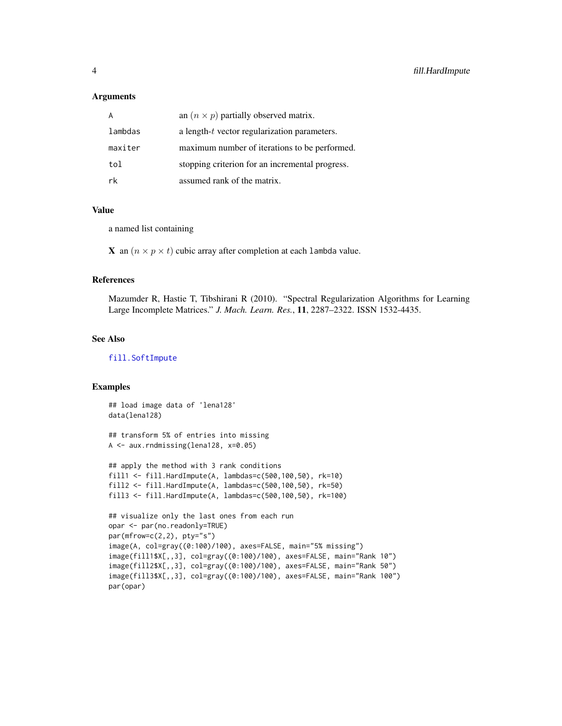#### <span id="page-3-0"></span>Arguments

|         | an $(n \times p)$ partially observed matrix.    |
|---------|-------------------------------------------------|
| lambdas | a length- $t$ vector regularization parameters. |
| maxiter | maximum number of iterations to be performed.   |
| tol     | stopping criterion for an incremental progress. |
| rk      | assumed rank of the matrix.                     |

#### Value

a named list containing

**X** an  $(n \times p \times t)$  cubic array after completion at each lambda value.

#### References

Mazumder R, Hastie T, Tibshirani R (2010). "Spectral Regularization Algorithms for Learning Large Incomplete Matrices." *J. Mach. Learn. Res.*, 11, 2287–2322. ISSN 1532-4435.

#### See Also

[fill.SoftImpute](#page-8-1)

```
## load image data of 'lena128'
data(lena128)
## transform 5% of entries into missing
A <- aux.rndmissing(lena128, x=0.05)
## apply the method with 3 rank conditions
fill1 <- fill.HardImpute(A, lambdas=c(500,100,50), rk=10)
fill2 <- fill.HardImpute(A, lambdas=c(500,100,50), rk=50)
fill3 <- fill.HardImpute(A, lambdas=c(500,100,50), rk=100)
## visualize only the last ones from each run
opar <- par(no.readonly=TRUE)
par(mfrow=c(2,2), pty="s")image(A, col=gray((0:100)/100), axes=FALSE, main="5% missing")
image(fill1$X[,,3], col=gray((0:100)/100), axes=FALSE, main="Rank 10")
image(fill2$X[,,3], col=gray((0:100)/100), axes=FALSE, main="Rank 50")
image(fill3$X[,,3], col=gray((0:100)/100), axes=FALSE, main="Rank 100")
par(opar)
```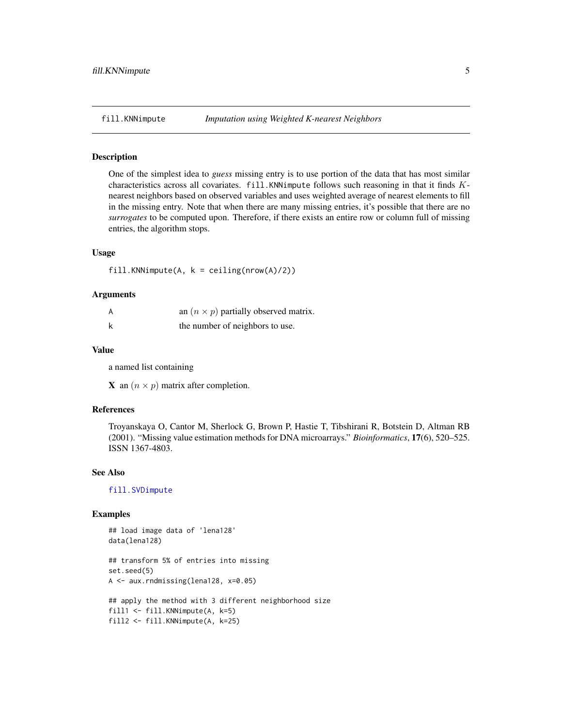<span id="page-4-1"></span><span id="page-4-0"></span>

#### Description

One of the simplest idea to *guess* missing entry is to use portion of the data that has most similar characteristics across all covariates. fill.KNNimpute follows such reasoning in that it finds Knearest neighbors based on observed variables and uses weighted average of nearest elements to fill in the missing entry. Note that when there are many missing entries, it's possible that there are no *surrogates* to be computed upon. Therefore, if there exists an entire row or column full of missing entries, the algorithm stops.

#### Usage

fill.KNNimpute(A,  $k =$  ceiling(nrow(A)/2))

#### Arguments

| A | an $(n \times p)$ partially observed matrix. |
|---|----------------------------------------------|
| k | the number of neighbors to use.              |

#### Value

a named list containing

**X** an  $(n \times p)$  matrix after completion.

#### References

Troyanskaya O, Cantor M, Sherlock G, Brown P, Hastie T, Tibshirani R, Botstein D, Altman RB (2001). "Missing value estimation methods for DNA microarrays." *Bioinformatics*, 17(6), 520–525. ISSN 1367-4803.

#### See Also

[fill.SVDimpute](#page-10-1)

```
## load image data of 'lena128'
data(lena128)
## transform 5% of entries into missing
set.seed(5)
A <- aux.rndmissing(lena128, x=0.05)
## apply the method with 3 different neighborhood size
fill1 <- fill.KNNimpute(A, k=5)
fill2 <- fill.KNNimpute(A, k=25)
```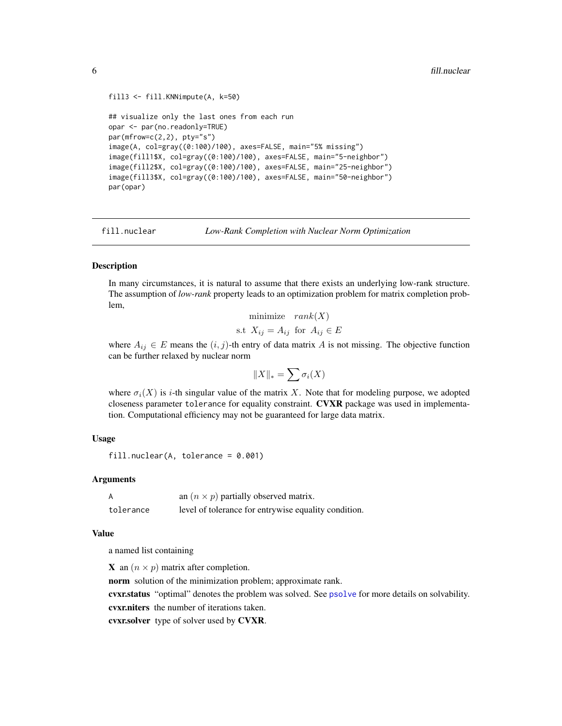```
fill3 <- fill.KNNimpute(A, k=50)
## visualize only the last ones from each run
opar <- par(no.readonly=TRUE)
par(mfrow=c(2,2), pty="s")image(A, col=gray((0:100)/100), axes=FALSE, main="5% missing")
image(fill1$X, col=gray((0:100)/100), axes=FALSE, main="5-neighbor")
image(fill2$X, col=gray((0:100)/100), axes=FALSE, main="25-neighbor")
image(fill3$X, col=gray((0:100)/100), axes=FALSE, main="50-neighbor")
par(opar)
```
<span id="page-5-1"></span>fill.nuclear *Low-Rank Completion with Nuclear Norm Optimization*

#### Description

In many circumstances, it is natural to assume that there exists an underlying low-rank structure. The assumption of *low-rank* property leads to an optimization problem for matrix completion problem,

$$
\begin{array}{ll}\text{minimize} & \operatorname{rank}(X) \\ \text{s.t} & X_{ij} = A_{ij} \text{ for } A_{ij} \in E \end{array}
$$

where  $A_{ij} \in E$  means the  $(i, j)$ -th entry of data matrix A is not missing. The objective function can be further relaxed by nuclear norm

$$
||X||_* = \sum \sigma_i(X)
$$

where  $\sigma_i(X)$  is *i*-th singular value of the matrix X. Note that for modeling purpose, we adopted closeness parameter tolerance for equality constraint. CVXR package was used in implementation. Computational efficiency may not be guaranteed for large data matrix.

#### Usage

```
fill.nuclear(A, tolerance = 0.001)
```
#### Arguments

| A         | an $(n \times p)$ partially observed matrix.         |
|-----------|------------------------------------------------------|
| tolerance | level of tolerance for entrywise equality condition. |

#### Value

a named list containing

**X** an  $(n \times p)$  matrix after completion.

norm solution of the minimization problem; approximate rank.

cvxr.status "optimal" denotes the problem was solved. See [psolve](#page-0-0) for more details on solvability.

cvxr.niters the number of iterations taken.

cvxr.solver type of solver used by CVXR.

<span id="page-5-0"></span>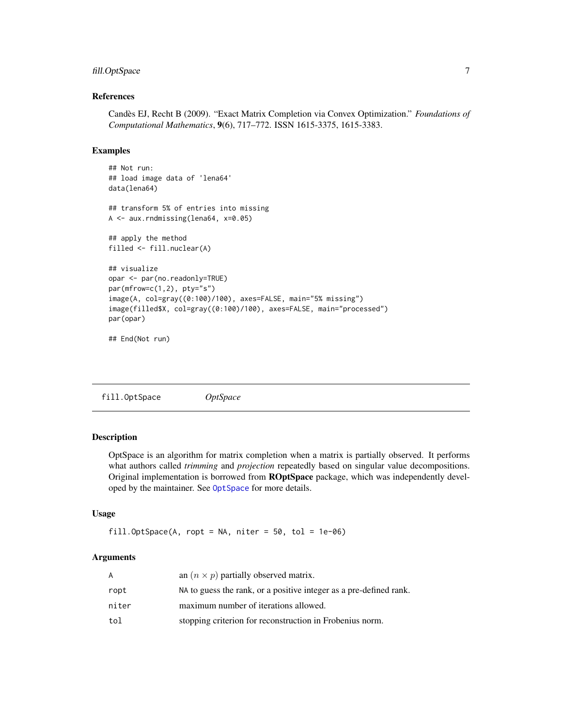#### <span id="page-6-0"></span>fill.OptSpace 7

#### References

Candès EJ, Recht B (2009). "Exact Matrix Completion via Convex Optimization." *Foundations of Computational Mathematics*, 9(6), 717–772. ISSN 1615-3375, 1615-3383.

#### Examples

```
## Not run:
## load image data of 'lena64'
data(lena64)
## transform 5% of entries into missing
A <- aux.rndmissing(lena64, x=0.05)
## apply the method
filled <- fill.nuclear(A)
## visualize
opar <- par(no.readonly=TRUE)
par(mfrow=c(1,2), pty="s")
image(A, col=gray((0:100)/100), axes=FALSE, main="5% missing")
image(filled$X, col=gray((0:100)/100), axes=FALSE, main="processed")
par(opar)
```
## End(Not run)

fill.OptSpace *OptSpace*

#### Description

OptSpace is an algorithm for matrix completion when a matrix is partially observed. It performs what authors called *trimming* and *projection* repeatedly based on singular value decompositions. Original implementation is borrowed from **ROptSpace** package, which was independently developed by the maintainer. See [OptSpace](#page-0-0) for more details.

#### Usage

```
fill.OptSpace(A, ropt = NA, niter = 50, tol = 1e-06)
```
#### Arguments

| A     | an $(n \times p)$ partially observed matrix.                       |
|-------|--------------------------------------------------------------------|
| ropt  | NA to guess the rank, or a positive integer as a pre-defined rank. |
| niter | maximum number of iterations allowed.                              |
| tol   | stopping criterion for reconstruction in Frobenius norm.           |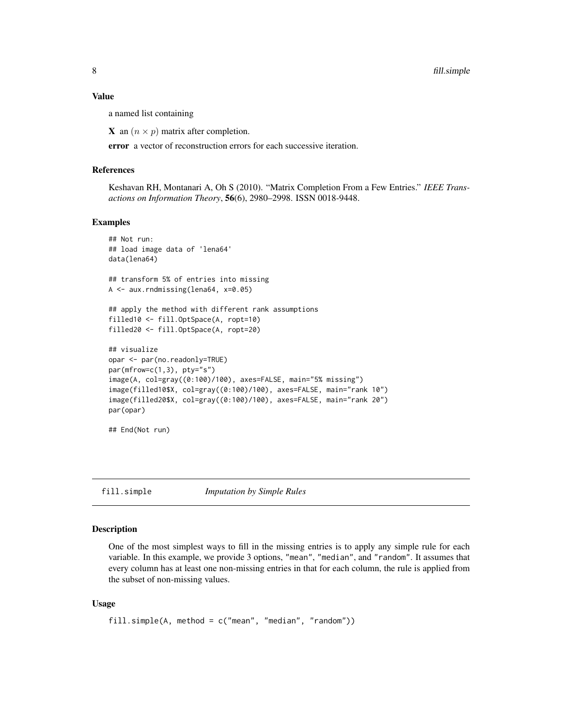#### <span id="page-7-0"></span>Value

a named list containing

**X** an  $(n \times p)$  matrix after completion.

error a vector of reconstruction errors for each successive iteration.

#### References

Keshavan RH, Montanari A, Oh S (2010). "Matrix Completion From a Few Entries." *IEEE Transactions on Information Theory*, 56(6), 2980–2998. ISSN 0018-9448.

#### Examples

```
## Not run:
## load image data of 'lena64'
data(lena64)
## transform 5% of entries into missing
A <- aux.rndmissing(lena64, x=0.05)
## apply the method with different rank assumptions
filled10 <- fill.OptSpace(A, ropt=10)
filled20 <- fill.OptSpace(A, ropt=20)
## visualize
opar <- par(no.readonly=TRUE)
par(mfrow=c(1,3), pty='s")image(A, col=gray((0:100)/100), axes=FALSE, main="5% missing")
image(filled10$X, col=gray((0:100)/100), axes=FALSE, main="rank 10")
image(filled20$X, col=gray((0:100)/100), axes=FALSE, main="rank 20")
par(opar)
## End(Not run)
```
fill.simple *Imputation by Simple Rules*

#### **Description**

One of the most simplest ways to fill in the missing entries is to apply any simple rule for each variable. In this example, we provide 3 options, "mean", "median", and "random". It assumes that every column has at least one non-missing entries in that for each column, the rule is applied from the subset of non-missing values.

#### Usage

```
fill.simple(A, method = c("mean", "median", "random"))
```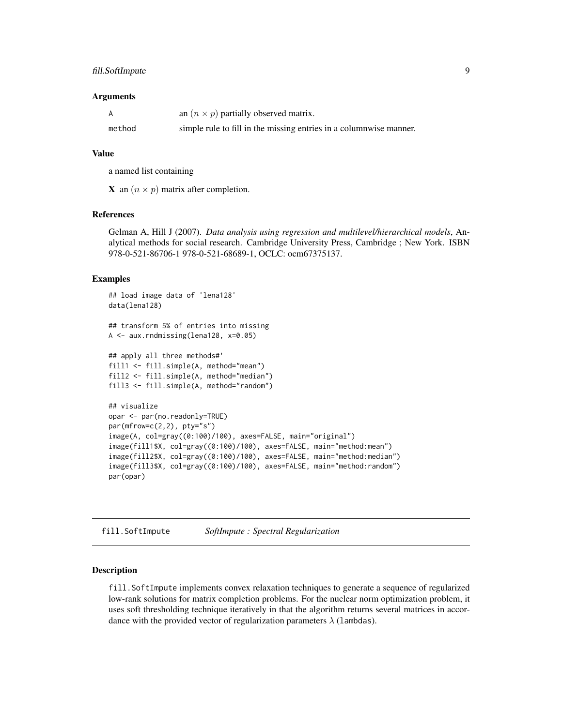#### <span id="page-8-0"></span>fill.SoftImpute 9

#### Arguments

|        | an $(n \times p)$ partially observed matrix.                       |
|--------|--------------------------------------------------------------------|
| method | simple rule to fill in the missing entries in a columnwise manner. |

#### Value

a named list containing

**X** an  $(n \times p)$  matrix after completion.

#### References

Gelman A, Hill J (2007). *Data analysis using regression and multilevel/hierarchical models*, Analytical methods for social research. Cambridge University Press, Cambridge ; New York. ISBN 978-0-521-86706-1 978-0-521-68689-1, OCLC: ocm67375137.

#### Examples

```
## load image data of 'lena128'
data(lena128)
## transform 5% of entries into missing
A <- aux.rndmissing(lena128, x=0.05)
## apply all three methods#'
fill1 <- fill.simple(A, method="mean")
fill2 <- fill.simple(A, method="median")
fill3 <- fill.simple(A, method="random")
## visualize
opar <- par(no.readonly=TRUE)
par(mfrow=c(2,2), pty="s")image(A, col=gray((0:100)/100), axes=FALSE, main="original")
image(fill1$X, col=gray((0:100)/100), axes=FALSE, main="method:mean")
image(fill2$X, col=gray((0:100)/100), axes=FALSE, main="method:median")
image(fill3$X, col=gray((0:100)/100), axes=FALSE, main="method:random")
par(opar)
```
<span id="page-8-1"></span>fill.SoftImpute *SoftImpute : Spectral Regularization*

#### Description

fill.SoftImpute implements convex relaxation techniques to generate a sequence of regularized low-rank solutions for matrix completion problems. For the nuclear norm optimization problem, it uses soft thresholding technique iteratively in that the algorithm returns several matrices in accordance with the provided vector of regularization parameters  $\lambda$  (lambdas).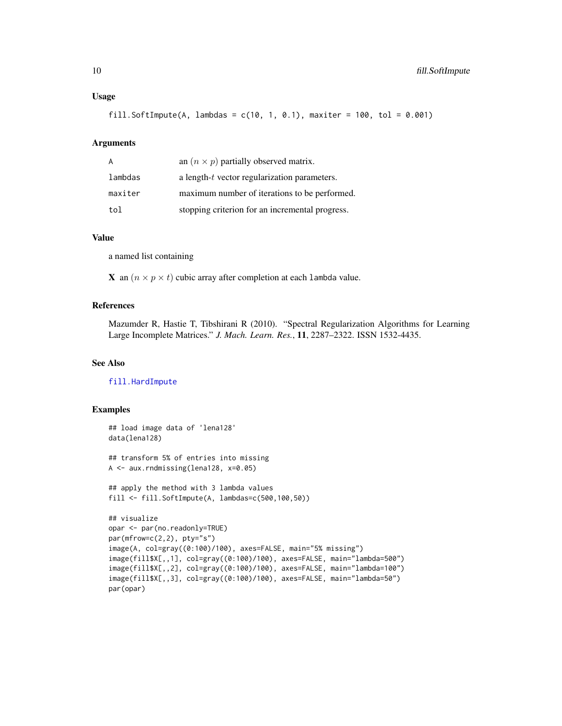#### <span id="page-9-0"></span>Usage

fill.SoftImpute(A, lambdas =  $c(10, 1, 0.1)$ , maxiter = 100, tol = 0.001)

#### Arguments

| A       | an $(n \times p)$ partially observed matrix.    |
|---------|-------------------------------------------------|
| lambdas | a length-t vector regularization parameters.    |
| maxiter | maximum number of iterations to be performed.   |
| tol     | stopping criterion for an incremental progress. |

#### Value

a named list containing

**X** an  $(n \times p \times t)$  cubic array after completion at each lambda value.

#### References

Mazumder R, Hastie T, Tibshirani R (2010). "Spectral Regularization Algorithms for Learning Large Incomplete Matrices." *J. Mach. Learn. Res.*, 11, 2287–2322. ISSN 1532-4435.

#### See Also

[fill.HardImpute](#page-2-1)

```
## load image data of 'lena128'
data(lena128)
## transform 5% of entries into missing
A <- aux.rndmissing(lena128, x=0.05)
## apply the method with 3 lambda values
fill <- fill.SoftImpute(A, lambdas=c(500,100,50))
## visualize
opar <- par(no.readonly=TRUE)
par(mfrow=c(2,2), pty="s")
image(A, col=gray((0:100)/100), axes=FALSE, main="5% missing")
image(fill$X[,,1], col=gray((0:100)/100), axes=FALSE, main="lambda=500")
image(fill$X[,,2], col=gray((0:100)/100), axes=FALSE, main="lambda=100")
image(fill$X[,,3], col=gray((0:100)/100), axes=FALSE, main="lambda=50")
par(opar)
```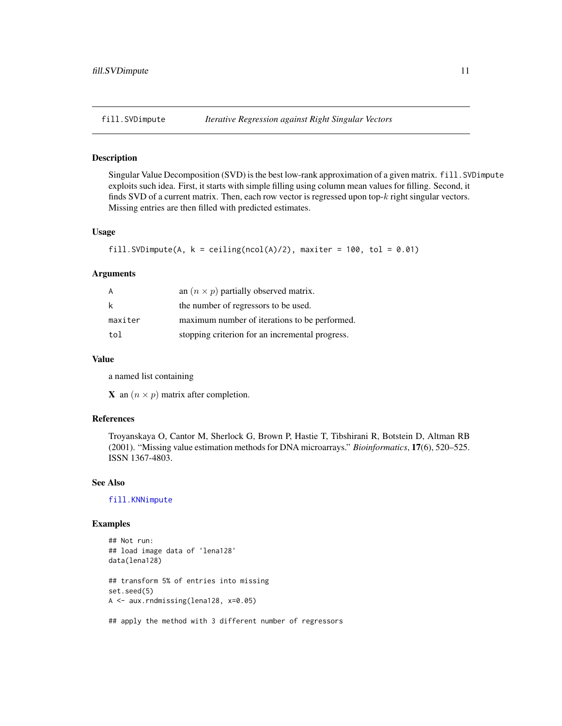#### <span id="page-10-1"></span><span id="page-10-0"></span>Description

Singular Value Decomposition (SVD) is the best low-rank approximation of a given matrix. fill.SVDimpute exploits such idea. First, it starts with simple filling using column mean values for filling. Second, it finds SVD of a current matrix. Then, each row vector is regressed upon top- $k$  right singular vectors. Missing entries are then filled with predicted estimates.

#### Usage

```
fill.SVDimpute(A, k = ceiling(ncol(A)/2), maxiter = 100, tol = 0.01)
```
#### Arguments

| A       | an $(n \times p)$ partially observed matrix.    |
|---------|-------------------------------------------------|
| k       | the number of regressors to be used.            |
| maxiter | maximum number of iterations to be performed.   |
| tol     | stopping criterion for an incremental progress. |

#### Value

a named list containing

**X** an  $(n \times p)$  matrix after completion.

#### References

Troyanskaya O, Cantor M, Sherlock G, Brown P, Hastie T, Tibshirani R, Botstein D, Altman RB (2001). "Missing value estimation methods for DNA microarrays." *Bioinformatics*, 17(6), 520–525. ISSN 1367-4803.

#### See Also

[fill.KNNimpute](#page-4-1)

```
## Not run:
## load image data of 'lena128'
data(lena128)
## transform 5% of entries into missing
set.seed(5)
A <- aux.rndmissing(lena128, x=0.05)
```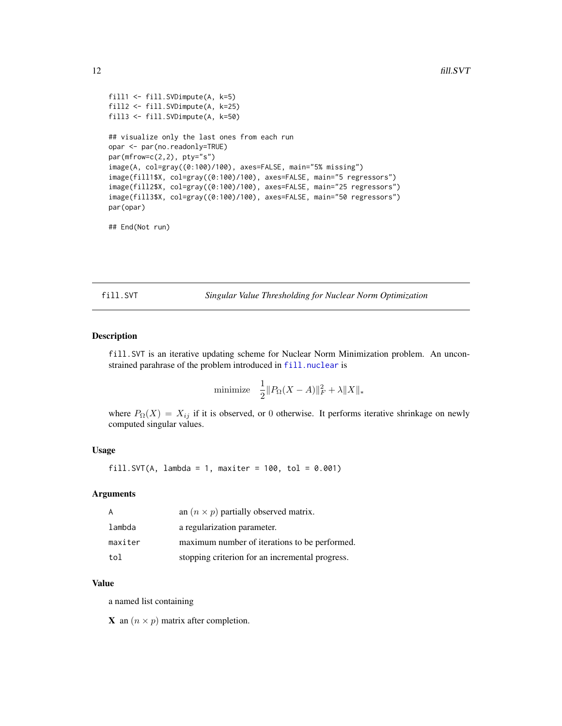```
fill1 <- fill.SVDimpute(A, k=5)
fill2 <- fill.SVDimpute(A, k=25)
fill3 <- fill.SVDimpute(A, k=50)
## visualize only the last ones from each run
opar <- par(no.readonly=TRUE)
par(mfrow=c(2,2), pty="s")image(A, col=gray((0:100)/100), axes=FALSE, main="5% missing")
image(fill1$X, col=gray((0:100)/100), axes=FALSE, main="5 regressors")
image(fill2$X, col=gray((0:100)/100), axes=FALSE, main="25 regressors")
image(fill3$X, col=gray((0:100)/100), axes=FALSE, main="50 regressors")
par(opar)
```
## End(Not run)

fill.SVT *Singular Value Thresholding for Nuclear Norm Optimization*

#### Description

fill.SVT is an iterative updating scheme for Nuclear Norm Minimization problem. An unconstrained parahrase of the problem introduced in [fill.nuclear](#page-5-1) is

minimize 
$$
\frac{1}{2} ||P_{\Omega}(X - A)||_F^2 + \lambda ||X||_*
$$

where  $P_{\Omega}(X) = X_{ij}$  if it is observed, or 0 otherwise. It performs iterative shrinkage on newly computed singular values.

#### Usage

fill.SVT(A, lambda = 1, maxiter =  $100$ , tol =  $0.001$ )

#### Arguments

| A       | an $(n \times p)$ partially observed matrix.    |
|---------|-------------------------------------------------|
| lambda  | a regularization parameter.                     |
| maxiter | maximum number of iterations to be performed.   |
| tol     | stopping criterion for an incremental progress. |

#### Value

a named list containing

**X** an  $(n \times p)$  matrix after completion.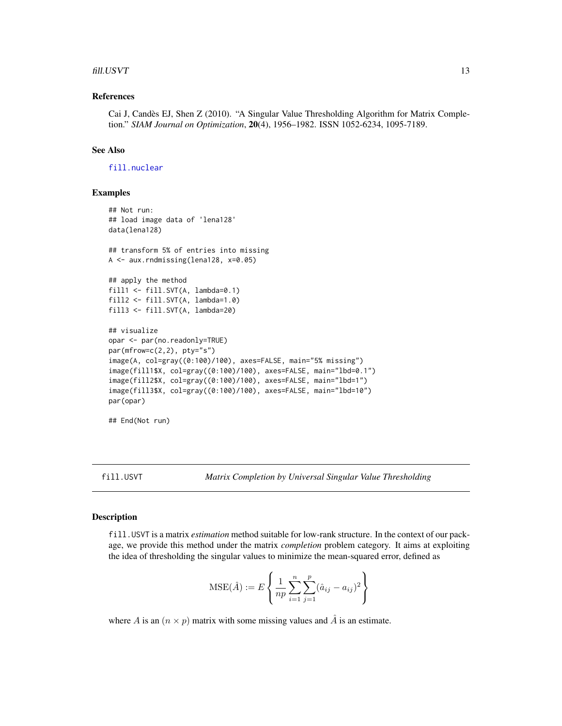#### <span id="page-12-0"></span> $fill. USVT$  13

#### References

Cai J, Candès EJ, Shen Z (2010). "A Singular Value Thresholding Algorithm for Matrix Completion." *SIAM Journal on Optimization*, 20(4), 1956–1982. ISSN 1052-6234, 1095-7189.

#### See Also

[fill.nuclear](#page-5-1)

#### Examples

```
## Not run:
## load image data of 'lena128'
data(lena128)
## transform 5% of entries into missing
A <- aux.rndmissing(lena128, x=0.05)
## apply the method
fill1 <- fill.SVT(A, lambda=0.1)
fill2 <- fill.SVT(A, lambda=1.0)
fill3 <- fill.SVT(A, lambda=20)
## visualize
opar <- par(no.readonly=TRUE)
par(mfrow=c(2,2), pty="s")image(A, col=gray((0:100)/100), axes=FALSE, main="5% missing")
image(fill1$X, col=gray((0:100)/100), axes=FALSE, main="lbd=0.1")
image(fill2$X, col=gray((0:100)/100), axes=FALSE, main="lbd=1")
image(fill3$X, col=gray((0:100)/100), axes=FALSE, main="lbd=10")
par(opar)
## End(Not run)
```
fill.USVT *Matrix Completion by Universal Singular Value Thresholding*

#### Description

fill.USVT is a matrix *estimation* method suitable for low-rank structure. In the context of our package, we provide this method under the matrix *completion* problem category. It aims at exploiting the idea of thresholding the singular values to minimize the mean-squared error, defined as

$$
\text{MSE}(\hat{A}) := E\left\{ \frac{1}{np} \sum_{i=1}^{n} \sum_{j=1}^{p} (\hat{a}_{ij} - a_{ij})^2 \right\}
$$

where A is an  $(n \times p)$  matrix with some missing values and  $\hat{A}$  is an estimate.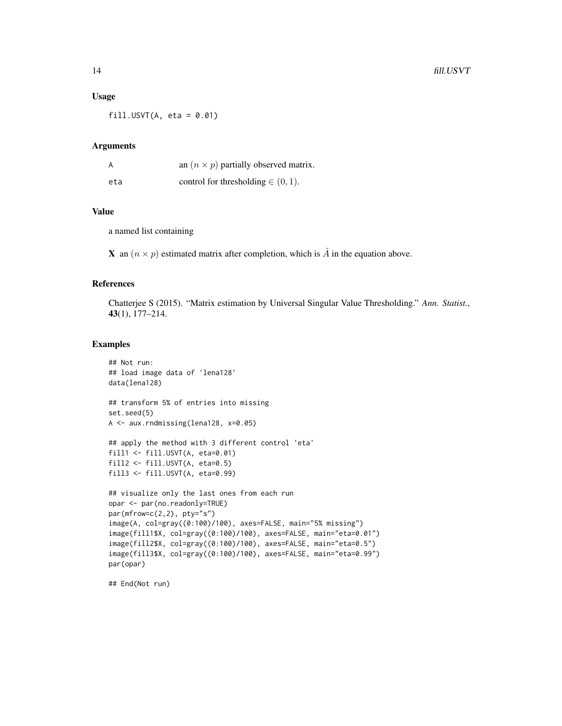#### Usage

 $fill.USVT(A, eta = 0.01)$ 

#### Arguments

| A   | an $(n \times p)$ partially observed matrix. |
|-----|----------------------------------------------|
| eta | control for thresholding $\in (0, 1)$ .      |

#### Value

a named list containing

**X** an  $(n \times p)$  estimated matrix after completion, which is  $\hat{A}$  in the equation above.

#### References

Chatterjee S (2015). "Matrix estimation by Universal Singular Value Thresholding." *Ann. Statist.*, 43(1), 177–214.

#### Examples

```
## Not run:
## load image data of 'lena128'
data(lena128)
## transform 5% of entries into missing
set.seed(5)
A <- aux.rndmissing(lena128, x=0.05)
## apply the method with 3 different control 'eta'
fill1 <- fill.USVT(A, eta=0.01)
fill2 \leftarrow fill.USVT(A, eta=0.5)fill3 <- fill.USVT(A, eta=0.99)
## visualize only the last ones from each run
opar <- par(no.readonly=TRUE)
par(mfrow=c(2,2), pty="s")
image(A, col=gray((0:100)/100), axes=FALSE, main="5% missing")
image(fill1$X, col=gray((0:100)/100), axes=FALSE, main="eta=0.01")
image(fill2$X, col=gray((0:100)/100), axes=FALSE, main="eta=0.5")
image(fill3$X, col=gray((0:100)/100), axes=FALSE, main="eta=0.99")
par(opar)
```
## End(Not run)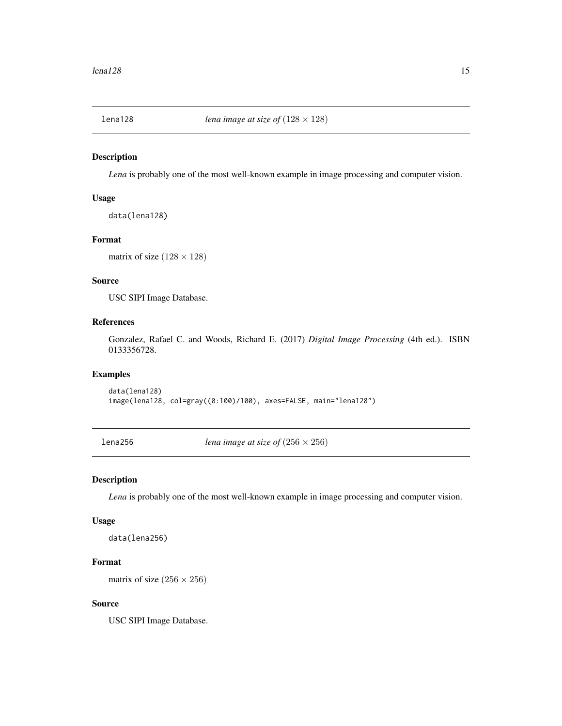<span id="page-14-0"></span>

#### Description

*Lena* is probably one of the most well-known example in image processing and computer vision.

#### Usage

```
data(lena128)
```
#### Format

matrix of size  $(128 \times 128)$ 

#### Source

USC SIPI Image Database.

#### References

Gonzalez, Rafael C. and Woods, Richard E. (2017) *Digital Image Processing* (4th ed.). ISBN 0133356728.

#### Examples

data(lena128) image(lena128, col=gray((0:100)/100), axes=FALSE, main="lena128")

lena256 *lena image at size of*  $(256 \times 256)$ 

#### Description

*Lena* is probably one of the most well-known example in image processing and computer vision.

#### Usage

data(lena256)

#### Format

matrix of size  $(256 \times 256)$ 

#### Source

USC SIPI Image Database.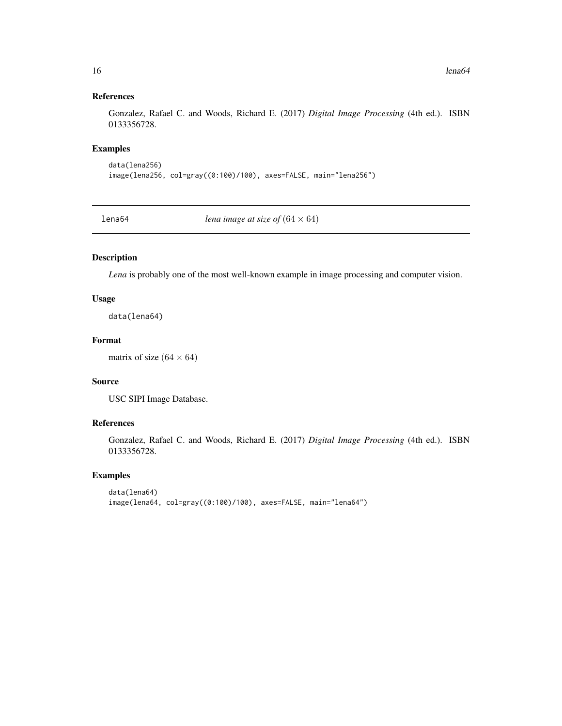#### References

Gonzalez, Rafael C. and Woods, Richard E. (2017) *Digital Image Processing* (4th ed.). ISBN 0133356728.

#### Examples

```
data(lena256)
image(lena256, col=gray((0:100)/100), axes=FALSE, main="lena256")
```
lena64 *lena image at size of*  $(64 \times 64)$ 

#### Description

*Lena* is probably one of the most well-known example in image processing and computer vision.

#### Usage

data(lena64)

#### Format

matrix of size  $(64 \times 64)$ 

#### Source

USC SIPI Image Database.

#### References

Gonzalez, Rafael C. and Woods, Richard E. (2017) *Digital Image Processing* (4th ed.). ISBN 0133356728.

```
data(lena64)
image(lena64, col=gray((0:100)/100), axes=FALSE, main="lena64")
```
<span id="page-15-0"></span>